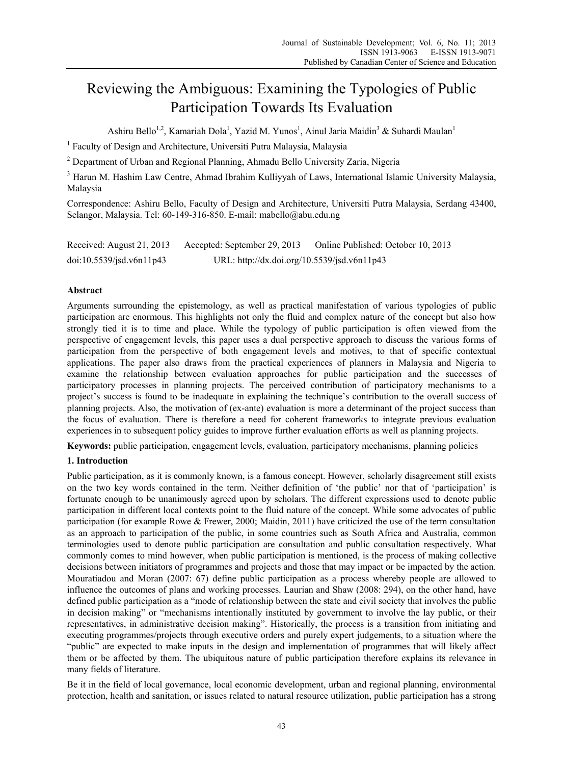# Reviewing the Ambiguous: Examining the Typologies of Public Participation Towards Its Evaluation

Ashiru Bello<sup>1,2</sup>, Kamariah Dola<sup>1</sup>, Yazid M. Yunos<sup>1</sup>, Ainul Jaria Maidin<sup>3</sup> & Suhardi Maulan<sup>1</sup>

<sup>1</sup> Faculty of Design and Architecture, Universiti Putra Malaysia, Malaysia

<sup>2</sup> Department of Urban and Regional Planning, Ahmadu Bello University Zaria, Nigeria

<sup>3</sup> Harun M. Hashim Law Centre, Ahmad Ibrahim Kulliyyah of Laws, International Islamic University Malaysia, Malaysia

Correspondence: Ashiru Bello, Faculty of Design and Architecture, Universiti Putra Malaysia, Serdang 43400, Selangor, Malaysia. Tel: 60-149-316-850. E-mail: mabello@abu.edu.ng

Received: August 21, 2013 Accepted: September 29, 2013 Online Published: October 10, 2013 doi:10.5539/jsd.v6n11p43 URL: http://dx.doi.org/10.5539/jsd.v6n11p43

## **Abstract**

Arguments surrounding the epistemology, as well as practical manifestation of various typologies of public participation are enormous. This highlights not only the fluid and complex nature of the concept but also how strongly tied it is to time and place. While the typology of public participation is often viewed from the perspective of engagement levels, this paper uses a dual perspective approach to discuss the various forms of participation from the perspective of both engagement levels and motives, to that of specific contextual applications. The paper also draws from the practical experiences of planners in Malaysia and Nigeria to examine the relationship between evaluation approaches for public participation and the successes of participatory processes in planning projects. The perceived contribution of participatory mechanisms to a project's success is found to be inadequate in explaining the technique's contribution to the overall success of planning projects. Also, the motivation of (ex-ante) evaluation is more a determinant of the project success than the focus of evaluation. There is therefore a need for coherent frameworks to integrate previous evaluation experiences in to subsequent policy guides to improve further evaluation efforts as well as planning projects.

**Keywords:** public participation, engagement levels, evaluation, participatory mechanisms, planning policies

## **1. Introduction**

Public participation, as it is commonly known, is a famous concept. However, scholarly disagreement still exists on the two key words contained in the term. Neither definition of 'the public' nor that of 'participation' is fortunate enough to be unanimously agreed upon by scholars. The different expressions used to denote public participation in different local contexts point to the fluid nature of the concept. While some advocates of public participation (for example Rowe & Frewer, 2000; Maidin, 2011) have criticized the use of the term consultation as an approach to participation of the public, in some countries such as South Africa and Australia, common terminologies used to denote public participation are consultation and public consultation respectively. What commonly comes to mind however, when public participation is mentioned, is the process of making collective decisions between initiators of programmes and projects and those that may impact or be impacted by the action. Mouratiadou and Moran (2007: 67) define public participation as a process whereby people are allowed to influence the outcomes of plans and working processes. Laurian and Shaw (2008: 294), on the other hand, have defined public participation as a "mode of relationship between the state and civil society that involves the public in decision making" or "mechanisms intentionally instituted by government to involve the lay public, or their representatives, in administrative decision making". Historically, the process is a transition from initiating and executing programmes/projects through executive orders and purely expert judgements, to a situation where the "public" are expected to make inputs in the design and implementation of programmes that will likely affect them or be affected by them. The ubiquitous nature of public participation therefore explains its relevance in many fields of literature.

Be it in the field of local governance, local economic development, urban and regional planning, environmental protection, health and sanitation, or issues related to natural resource utilization, public participation has a strong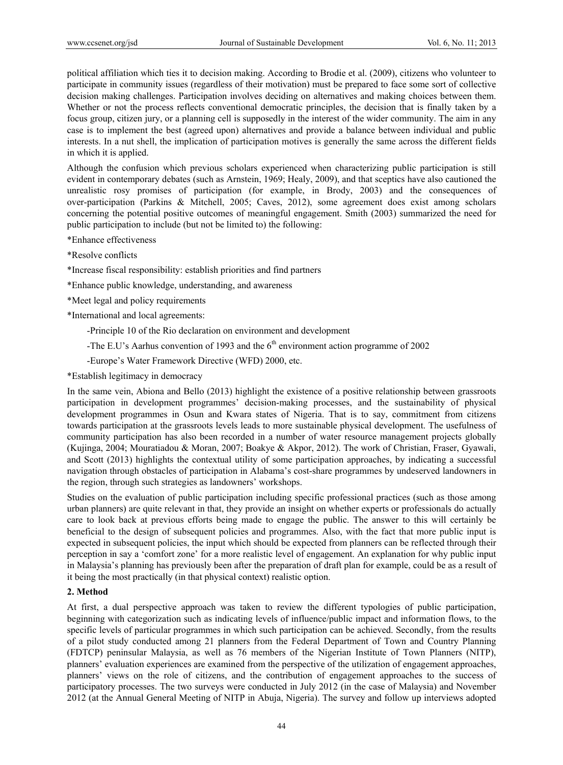political affiliation which ties it to decision making. According to Brodie et al. (2009), citizens who volunteer to participate in community issues (regardless of their motivation) must be prepared to face some sort of collective decision making challenges. Participation involves deciding on alternatives and making choices between them. Whether or not the process reflects conventional democratic principles, the decision that is finally taken by a focus group, citizen jury, or a planning cell is supposedly in the interest of the wider community. The aim in any case is to implement the best (agreed upon) alternatives and provide a balance between individual and public interests. In a nut shell, the implication of participation motives is generally the same across the different fields in which it is applied.

Although the confusion which previous scholars experienced when characterizing public participation is still evident in contemporary debates (such as Arnstein, 1969; Healy, 2009), and that sceptics have also cautioned the unrealistic rosy promises of participation (for example, in Brody, 2003) and the consequences of over-participation (Parkins & Mitchell, 2005; Caves, 2012), some agreement does exist among scholars concerning the potential positive outcomes of meaningful engagement. Smith (2003) summarized the need for public participation to include (but not be limited to) the following:

\*Enhance effectiveness

- \*Resolve conflicts
- \*Increase fiscal responsibility: establish priorities and find partners
- \*Enhance public knowledge, understanding, and awareness
- \*Meet legal and policy requirements
- \*International and local agreements:
	- -Principle 10 of the Rio declaration on environment and development
	- -The E.U's Aarhus convention of 1993 and the  $6<sup>th</sup>$  environment action programme of 2002
	- -Europe's Water Framework Directive (WFD) 2000, etc.
- \*Establish legitimacy in democracy

In the same vein, Abiona and Bello (2013) highlight the existence of a positive relationship between grassroots participation in development programmes' decision-making processes, and the sustainability of physical development programmes in Osun and Kwara states of Nigeria. That is to say, commitment from citizens towards participation at the grassroots levels leads to more sustainable physical development. The usefulness of community participation has also been recorded in a number of water resource management projects globally (Kujinga, 2004; Mouratiadou & Moran, 2007; Boakye & Akpor, 2012). The work of Christian, Fraser, Gyawali, and Scott (2013) highlights the contextual utility of some participation approaches, by indicating a successful navigation through obstacles of participation in Alabama's cost-share programmes by undeserved landowners in the region, through such strategies as landowners' workshops.

Studies on the evaluation of public participation including specific professional practices (such as those among urban planners) are quite relevant in that, they provide an insight on whether experts or professionals do actually care to look back at previous efforts being made to engage the public. The answer to this will certainly be beneficial to the design of subsequent policies and programmes. Also, with the fact that more public input is expected in subsequent policies, the input which should be expected from planners can be reflected through their perception in say a 'comfort zone' for a more realistic level of engagement. An explanation for why public input in Malaysia's planning has previously been after the preparation of draft plan for example, could be as a result of it being the most practically (in that physical context) realistic option.

## **2. Method**

At first, a dual perspective approach was taken to review the different typologies of public participation, beginning with categorization such as indicating levels of influence/public impact and information flows, to the specific levels of particular programmes in which such participation can be achieved. Secondly, from the results of a pilot study conducted among 21 planners from the Federal Department of Town and Country Planning (FDTCP) peninsular Malaysia, as well as 76 members of the Nigerian Institute of Town Planners (NITP), planners' evaluation experiences are examined from the perspective of the utilization of engagement approaches, planners' views on the role of citizens, and the contribution of engagement approaches to the success of participatory processes. The two surveys were conducted in July 2012 (in the case of Malaysia) and November 2012 (at the Annual General Meeting of NITP in Abuja, Nigeria). The survey and follow up interviews adopted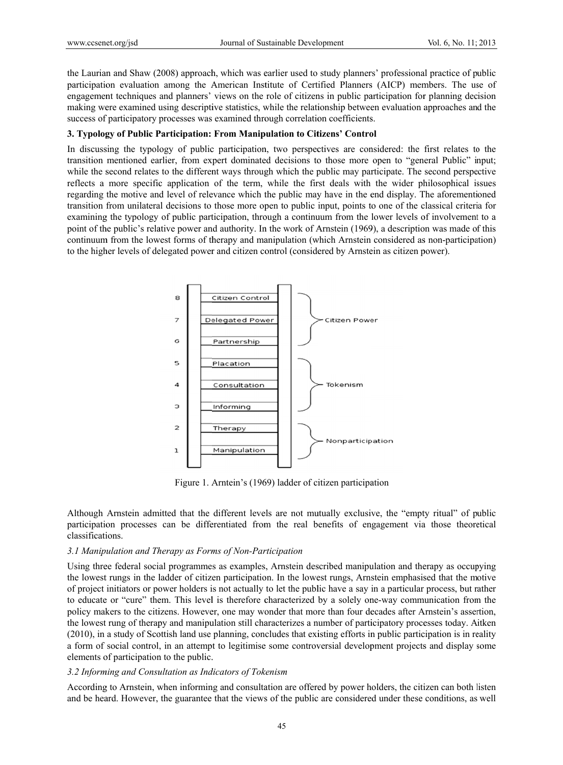the Laurian and Shaw (2008) approach, which was earlier used to study planners' professional practice of public participation evaluation among the American Institute of Certified Planners (AICP) members. The use of engagement techniques and planners' views on the role of citizens in public participation for planning decision making were examined using descriptive statistics, while the relationship between evaluation approaches and the success of participatory processes was examined through correlation coefficients.

## 3. Typology of Public Participation: From Manipulation to Citizens' Control

In discussing the typology of public participation, two perspectives are considered: the first relates to the transition mentioned earlier, from expert dominated decisions to those more open to "general Public" input: while the second relates to the different ways through which the public may participate. The second perspective reflects a more specific application of the term, while the first deals with the wider philosophical issues regarding the motive and level of relevance which the public may have in the end display. The aforementioned transition from unilateral decisions to those more open to public input, points to one of the classical criteria for examining the typology of public participation, through a continuum from the lower levels of involvement to a point of the public's relative power and authority. In the work of Arnstein (1969), a description was made of this continuum from the lowest forms of therapy and manipulation (which Arnstein considered as non-participation) to the higher levels of delegated power and citizen control (considered by Arnstein as citizen power).



Figure 1. Arntein's (1969) ladder of citizen participation

Although Arnstein admitted that the different levels are not mutually exclusive, the "empty ritual" of public participation processes can be differentiated from the real benefits of engagement via those theoretical classifications.

## 3.1 Manipulation and Therapy as Forms of Non-Participation

Using three federal social programmes as examples, Arnstein described manipulation and therapy as occupying the lowest rungs in the ladder of citizen participation. In the lowest rungs, Arnstein emphasised that the motive of project initiators or power holders is not actually to let the public have a say in a particular process, but rather to educate or "cure" them. This level is therefore characterized by a solely one-way communication from the policy makers to the citizens. However, one may wonder that more than four decades after Arnstein's assertion, the lowest rung of therapy and manipulation still characterizes a number of participatory processes today. Aitken (2010), in a study of Scottish land use planning, concludes that existing efforts in public participation is in reality a form of social control, in an attempt to legitimise some controversial development projects and display some elements of participation to the public.

## 3.2 Informing and Consultation as Indicators of Tokenism

According to Arnstein, when informing and consultation are offered by power holders, the citizen can both listen and be heard. However, the guarantee that the views of the public are considered under these conditions, as well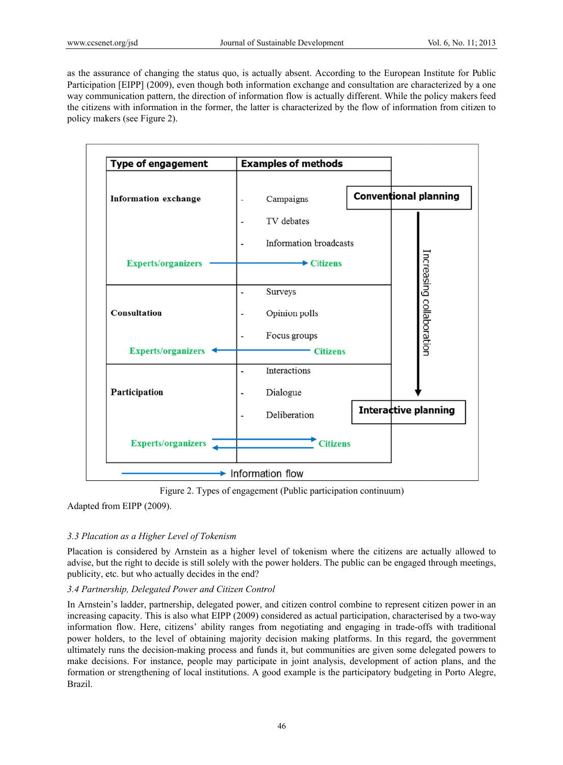as the assurance of changing the status quo, is actually absent. According to the European Institute for Public Participation [EIPP] (2009), even though both information exchange and consultation are characterized by a one way communication pattern, the direction of information flow is actually different. While the policy makers feed the citizens with information in the former, the latter is characterized by the flow of information from citizen to policy makers (see Figure 2).

| <b>Type of engagement</b>   | <b>Examples of methods</b>                                           |                          |
|-----------------------------|----------------------------------------------------------------------|--------------------------|
| <b>Information exchange</b> | Campaigns<br>TV debates<br>$\overline{a}$                            | Conventional planning    |
| <b>Experts/organizers</b>   | Information broadcasts<br>-<br>$\blacktriangleright$ Citizens        |                          |
| Consultation                | Surveys<br>$\overline{\phantom{0}}$<br>Opinion polls                 | Increasing collaboration |
| <b>Experts/organizers</b>   | Focus groups<br><b>Citizens</b>                                      |                          |
| Participation               | Interactions<br>Dialogue<br>$\overline{\phantom{0}}$<br>Deliberation | Interactive planning     |
| <b>Experts/organizers</b>   | <b>Citizens</b>                                                      |                          |
|                             | $\blacktriangleright$ Information flow                               |                          |

Figure 2. Types of engagement (Public participation continuum)

Adapted from EIPP (2009).

## 3.3 Placation as a Higher Level of Tokenism

Placation is considered by Arnstein as a higher level of tokenism where the citizens are actually allowed to advise, but the right to decide is still solely with the power holders. The public can be engaged through meetings, publicity, etc. but who actually decides in the end?

## 3.4 Partnership, Delegated Power and Citizen Control

In Arnstein's ladder, partnership, delegated power, and citizen control combine to represent citizen power in an increasing capacity. This is also what EIPP (2009) considered as actual participation, characterised by a two-way information flow. Here, citizens' ability ranges from negotiating and engaging in trade-offs with traditional power holders, to the level of obtaining majority decision making platforms. In this regard, the government ultimately runs the decision-making process and funds it, but communities are given some delegated powers to make decisions. For instance, people may participate in joint analysis, development of action plans, and the formation or strengthening of local institutions. A good example is the participatory budgeting in Porto Alegre, Brazil.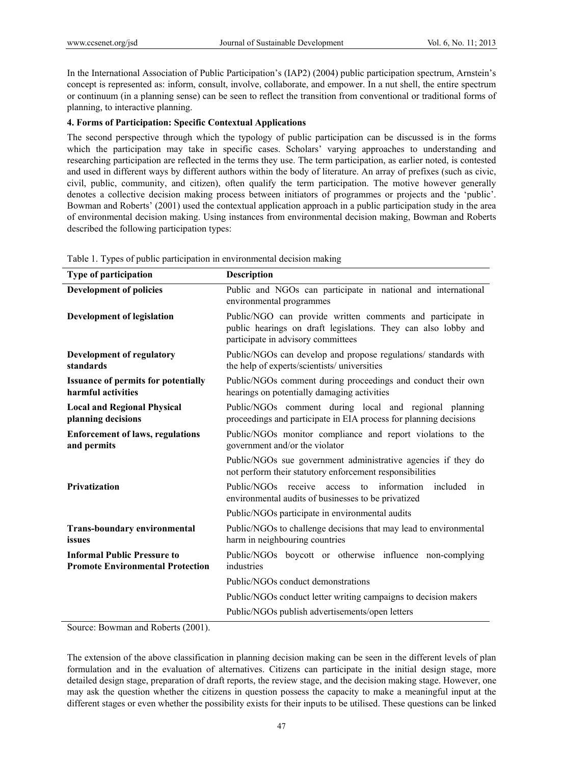In the International Association of Public Participation's (IAP2) (2004) public participation spectrum, Arnstein's concept is represented as: inform, consult, involve, collaborate, and empower. In a nut shell, the entire spectrum or continuum (in a planning sense) can be seen to reflect the transition from conventional or traditional forms of planning, to interactive planning.

## **4. Forms of Participation: Specific Contextual Applications**

The second perspective through which the typology of public participation can be discussed is in the forms which the participation may take in specific cases. Scholars' varying approaches to understanding and researching participation are reflected in the terms they use. The term participation, as earlier noted, is contested and used in different ways by different authors within the body of literature. An array of prefixes (such as civic, civil, public, community, and citizen), often qualify the term participation. The motive however generally denotes a collective decision making process between initiators of programmes or projects and the 'public'. Bowman and Roberts' (2001) used the contextual application approach in a public participation study in the area of environmental decision making. Using instances from environmental decision making, Bowman and Roberts described the following participation types:

| <b>Type of participation</b>                                                  | <b>Description</b>                                                                                                                                                 |
|-------------------------------------------------------------------------------|--------------------------------------------------------------------------------------------------------------------------------------------------------------------|
| <b>Development of policies</b>                                                | Public and NGOs can participate in national and international<br>environmental programmes                                                                          |
| <b>Development of legislation</b>                                             | Public/NGO can provide written comments and participate in<br>public hearings on draft legislations. They can also lobby and<br>participate in advisory committees |
| <b>Development of regulatory</b><br>standards                                 | Public/NGOs can develop and propose regulations/ standards with<br>the help of experts/scientists/ universities                                                    |
| <b>Issuance of permits for potentially</b><br>harmful activities              | Public/NGOs comment during proceedings and conduct their own<br>hearings on potentially damaging activities                                                        |
| <b>Local and Regional Physical</b><br>planning decisions                      | Public/NGOs comment during local and regional planning<br>proceedings and participate in EIA process for planning decisions                                        |
| <b>Enforcement of laws, regulations</b><br>and permits                        | Public/NGOs monitor compliance and report violations to the<br>government and/or the violator                                                                      |
|                                                                               | Public/NGOs sue government administrative agencies if they do<br>not perform their statutory enforcement responsibilities                                          |
| Privatization                                                                 | information<br>Public/NGOs receive<br>included<br>access<br>to<br>in<br>environmental audits of businesses to be privatized                                        |
|                                                                               | Public/NGOs participate in environmental audits                                                                                                                    |
| <b>Trans-boundary environmental</b><br>issues                                 | Public/NGOs to challenge decisions that may lead to environmental<br>harm in neighbouring countries                                                                |
| <b>Informal Public Pressure to</b><br><b>Promote Environmental Protection</b> | Public/NGOs boycott or otherwise influence non-complying<br>industries                                                                                             |
|                                                                               | Public/NGOs conduct demonstrations                                                                                                                                 |
|                                                                               | Public/NGOs conduct letter writing campaigns to decision makers                                                                                                    |
|                                                                               | Public/NGOs publish advertisements/open letters                                                                                                                    |

Table 1. Types of public participation in environmental decision making

Source: Bowman and Roberts (2001).

The extension of the above classification in planning decision making can be seen in the different levels of plan formulation and in the evaluation of alternatives. Citizens can participate in the initial design stage, more detailed design stage, preparation of draft reports, the review stage, and the decision making stage. However, one may ask the question whether the citizens in question possess the capacity to make a meaningful input at the different stages or even whether the possibility exists for their inputs to be utilised. These questions can be linked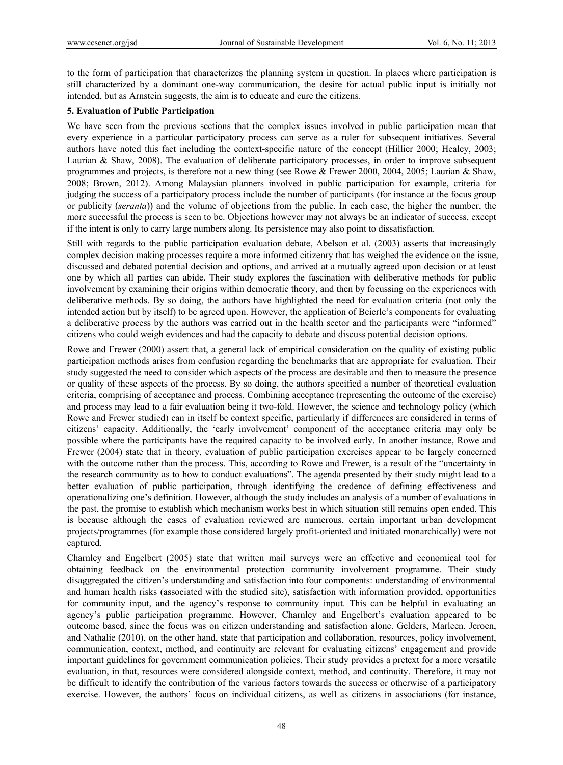to the form of participation that characterizes the planning system in question. In places where participation is still characterized by a dominant one-way communication, the desire for actual public input is initially not intended, but as Arnstein suggests, the aim is to educate and cure the citizens.

## **5. Evaluation of Public Participation**

We have seen from the previous sections that the complex issues involved in public participation mean that every experience in a particular participatory process can serve as a ruler for subsequent initiatives. Several authors have noted this fact including the context-specific nature of the concept (Hillier 2000; Healey, 2003; Laurian & Shaw, 2008). The evaluation of deliberate participatory processes, in order to improve subsequent programmes and projects, is therefore not a new thing (see Rowe & Frewer 2000, 2004, 2005; Laurian & Shaw, 2008; Brown, 2012). Among Malaysian planners involved in public participation for example, criteria for judging the success of a participatory process include the number of participants (for instance at the focus group or publicity (*seranta*)) and the volume of objections from the public. In each case, the higher the number, the more successful the process is seen to be. Objections however may not always be an indicator of success, except if the intent is only to carry large numbers along. Its persistence may also point to dissatisfaction.

Still with regards to the public participation evaluation debate, Abelson et al. (2003) asserts that increasingly complex decision making processes require a more informed citizenry that has weighed the evidence on the issue, discussed and debated potential decision and options, and arrived at a mutually agreed upon decision or at least one by which all parties can abide. Their study explores the fascination with deliberative methods for public involvement by examining their origins within democratic theory, and then by focussing on the experiences with deliberative methods. By so doing, the authors have highlighted the need for evaluation criteria (not only the intended action but by itself) to be agreed upon. However, the application of Beierle's components for evaluating a deliberative process by the authors was carried out in the health sector and the participants were "informed" citizens who could weigh evidences and had the capacity to debate and discuss potential decision options.

Rowe and Frewer (2000) assert that, a general lack of empirical consideration on the quality of existing public participation methods arises from confusion regarding the benchmarks that are appropriate for evaluation. Their study suggested the need to consider which aspects of the process are desirable and then to measure the presence or quality of these aspects of the process. By so doing, the authors specified a number of theoretical evaluation criteria, comprising of acceptance and process. Combining acceptance (representing the outcome of the exercise) and process may lead to a fair evaluation being it two-fold. However, the science and technology policy (which Rowe and Frewer studied) can in itself be context specific, particularly if differences are considered in terms of citizens' capacity. Additionally, the 'early involvement' component of the acceptance criteria may only be possible where the participants have the required capacity to be involved early. In another instance, Rowe and Frewer (2004) state that in theory, evaluation of public participation exercises appear to be largely concerned with the outcome rather than the process. This, according to Rowe and Frewer, is a result of the "uncertainty in the research community as to how to conduct evaluations". The agenda presented by their study might lead to a better evaluation of public participation, through identifying the credence of defining effectiveness and operationalizing one's definition. However, although the study includes an analysis of a number of evaluations in the past, the promise to establish which mechanism works best in which situation still remains open ended. This is because although the cases of evaluation reviewed are numerous, certain important urban development projects/programmes (for example those considered largely profit-oriented and initiated monarchically) were not captured.

Charnley and Engelbert (2005) state that written mail surveys were an effective and economical tool for obtaining feedback on the environmental protection community involvement programme. Their study disaggregated the citizen's understanding and satisfaction into four components: understanding of environmental and human health risks (associated with the studied site), satisfaction with information provided, opportunities for community input, and the agency's response to community input. This can be helpful in evaluating an agency's public participation programme. However, Charnley and Engelbert's evaluation appeared to be outcome based, since the focus was on citizen understanding and satisfaction alone. Gelders, Marleen, Jeroen, and Nathalie (2010), on the other hand, state that participation and collaboration, resources, policy involvement, communication, context, method, and continuity are relevant for evaluating citizens' engagement and provide important guidelines for government communication policies. Their study provides a pretext for a more versatile evaluation, in that, resources were considered alongside context, method, and continuity. Therefore, it may not be difficult to identify the contribution of the various factors towards the success or otherwise of a participatory exercise. However, the authors' focus on individual citizens, as well as citizens in associations (for instance,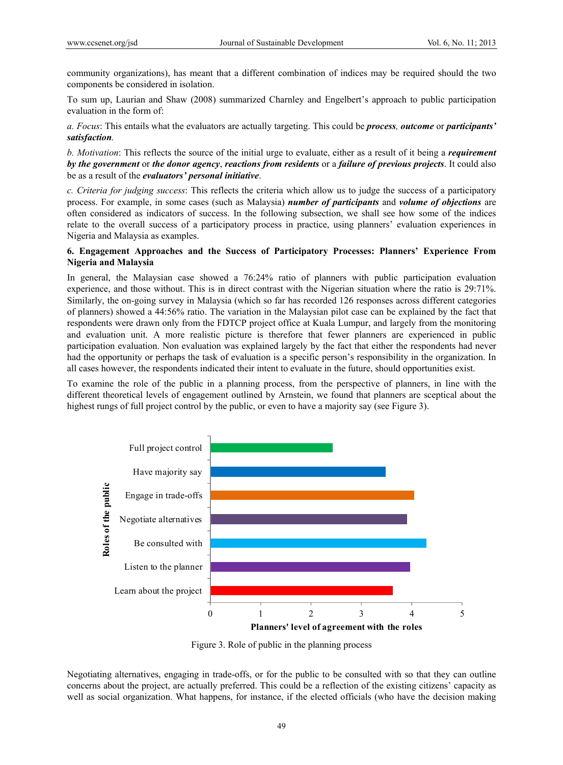community organizations), has meant that a different combination of indices may be required should the two components be considered in isolation.

To sum up, Laurian and Shaw (2008) summarized Charnley and Engelbert's approach to public participation evaluation in the form of:

*a. Focus*: This entails what the evaluators are actually targeting. This could be *process, outcome* or *participants' satisfaction.*

*b. Motivation*: This reflects the source of the initial urge to evaluate, either as a result of it being a *requirement by the government* or *the donor agency*, *reactions from residents* or a *failure of previous projects*. It could also be as a result of the *evaluators' personal initiative*.

*c. Criteria for judging success*: This reflects the criteria which allow us to judge the success of a participatory process. For example, in some cases (such as Malaysia) *number of participants* and *volume of objections* are often considered as indicators of success. In the following subsection, we shall see how some of the indices relate to the overall success of a participatory process in practice, using planners' evaluation experiences in Nigeria and Malaysia as examples.

## **6. Engagement Approaches and the Success of Participatory Processes: Planners' Experience From Nigeria and Malaysia**

In general, the Malaysian case showed a 76:24% ratio of planners with public participation evaluation experience, and those without. This is in direct contrast with the Nigerian situation where the ratio is 29:71%. Similarly, the on-going survey in Malaysia (which so far has recorded 126 responses across different categories of planners) showed a 44:56% ratio. The variation in the Malaysian pilot case can be explained by the fact that respondents were drawn only from the FDTCP project office at Kuala Lumpur, and largely from the monitoring and evaluation unit. A more realistic picture is therefore that fewer planners are experienced in public participation evaluation. Non evaluation was explained largely by the fact that either the respondents had never had the opportunity or perhaps the task of evaluation is a specific person's responsibility in the organization. In all cases however, the respondents indicated their intent to evaluate in the future, should opportunities exist.

To examine the role of the public in a planning process, from the perspective of planners, in line with the different theoretical levels of engagement outlined by Arnstein, we found that planners are sceptical about the highest rungs of full project control by the public, or even to have a majority say (see Figure 3).



Figure 3. Role of public in the planning process

Negotiating alternatives, engaging in trade-offs, or for the public to be consulted with so that they can outline concerns about the project, are actually preferred. This could be a reflection of the existing citizens' capacity as well as social organization. What happens, for instance, if the elected officials (who have the decision making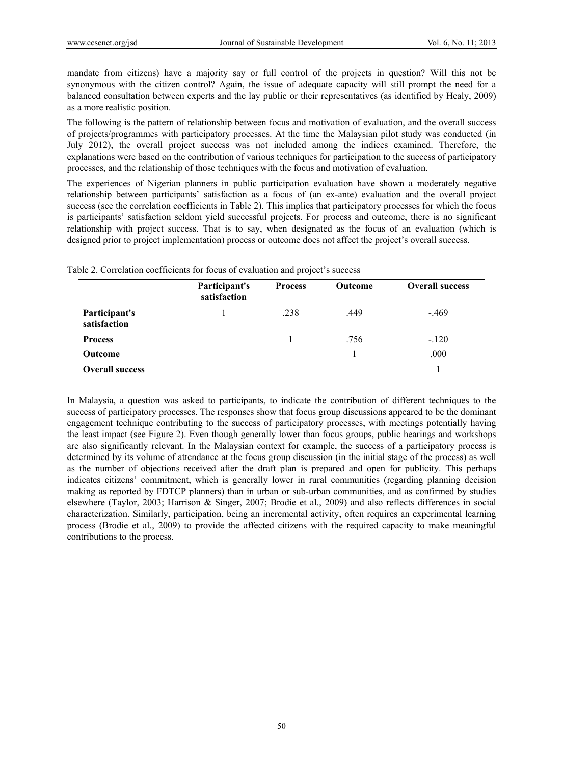mandate from citizens) have a majority say or full control of the projects in question? Will this not be synonymous with the citizen control? Again, the issue of adequate capacity will still prompt the need for a balanced consultation between experts and the lay public or their representatives (as identified by Healy, 2009) as a more realistic position.

The following is the pattern of relationship between focus and motivation of evaluation, and the overall success of projects/programmes with participatory processes. At the time the Malaysian pilot study was conducted (in July 2012), the overall project success was not included among the indices examined. Therefore, the explanations were based on the contribution of various techniques for participation to the success of participatory processes, and the relationship of those techniques with the focus and motivation of evaluation.

The experiences of Nigerian planners in public participation evaluation have shown a moderately negative relationship between participants' satisfaction as a focus of (an ex-ante) evaluation and the overall project success (see the correlation coefficients in Table 2). This implies that participatory processes for which the focus is participants' satisfaction seldom yield successful projects. For process and outcome, there is no significant relationship with project success. That is to say, when designated as the focus of an evaluation (which is designed prior to project implementation) process or outcome does not affect the project's overall success.

|                               | Participant's<br>satisfaction | <b>Process</b> | <b>Outcome</b> | <b>Overall success</b> |
|-------------------------------|-------------------------------|----------------|----------------|------------------------|
| Participant's<br>satisfaction |                               | .238           | .449           | $-.469$                |
| <b>Process</b>                |                               |                | .756           | $-120$                 |
| <b>Outcome</b>                |                               |                |                | .000                   |
| <b>Overall success</b>        |                               |                |                |                        |

Table 2. Correlation coefficients for focus of evaluation and project's success

In Malaysia, a question was asked to participants, to indicate the contribution of different techniques to the success of participatory processes. The responses show that focus group discussions appeared to be the dominant engagement technique contributing to the success of participatory processes, with meetings potentially having the least impact (see Figure 2). Even though generally lower than focus groups, public hearings and workshops are also significantly relevant. In the Malaysian context for example, the success of a participatory process is determined by its volume of attendance at the focus group discussion (in the initial stage of the process) as well as the number of objections received after the draft plan is prepared and open for publicity. This perhaps indicates citizens' commitment, which is generally lower in rural communities (regarding planning decision making as reported by FDTCP planners) than in urban or sub-urban communities, and as confirmed by studies elsewhere (Taylor, 2003; Harrison & Singer, 2007; Brodie et al., 2009) and also reflects differences in social characterization. Similarly, participation, being an incremental activity, often requires an experimental learning process (Brodie et al., 2009) to provide the affected citizens with the required capacity to make meaningful contributions to the process.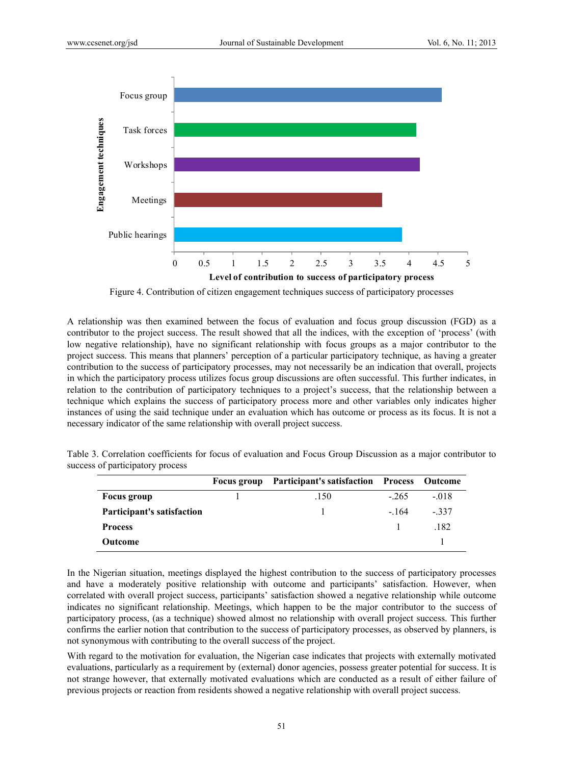

Figure 4. Contribution of citizen engagement techniques success of participatory processes

A relationship was then examined between the focus of evaluation and focus group discussion (FGD) as a contributor to the project success. The result showed that all the indices, with the exception of 'process' (with low negative relationship), have no significant relationship with focus groups as a major contributor to the project success. This means that planners' perception of a particular participatory technique, as having a greater contribution to the success of participatory processes, may not necessarily be an indication that overall, projects in which the participatory process utilizes focus group discussions are often successful. This further indicates, in relation to the contribution of participatory techniques to a project's success, that the relationship between a technique which explains the success of participatory process more and other variables only indicates higher instances of using the said technique under an evaluation which has outcome or process as its focus. It is not a necessary indicator of the same relationship with overall project success.

| Table 3. Correlation coefficients for focus of evaluation and Focus Group Discussion as a major contributor to |  |  |  |  |  |  |  |
|----------------------------------------------------------------------------------------------------------------|--|--|--|--|--|--|--|
| success of participatory process                                                                               |  |  |  |  |  |  |  |

|                            | Focus group Participant's satisfaction Process Outcome |        |         |
|----------------------------|--------------------------------------------------------|--------|---------|
| Focus group                | .150                                                   | $-265$ | $-.018$ |
| Participant's satisfaction |                                                        | - 164  | $-337$  |
| <b>Process</b>             |                                                        |        | .182    |
| <b>Outcome</b>             |                                                        |        |         |

In the Nigerian situation, meetings displayed the highest contribution to the success of participatory processes and have a moderately positive relationship with outcome and participants' satisfaction. However, when correlated with overall project success, participants' satisfaction showed a negative relationship while outcome indicates no significant relationship. Meetings, which happen to be the major contributor to the success of participatory process, (as a technique) showed almost no relationship with overall project success. This further confirms the earlier notion that contribution to the success of participatory processes, as observed by planners, is not synonymous with contributing to the overall success of the project.

With regard to the motivation for evaluation, the Nigerian case indicates that projects with externally motivated evaluations, particularly as a requirement by (external) donor agencies, possess greater potential for success. It is not strange however, that externally motivated evaluations which are conducted as a result of either failure of previous projects or reaction from residents showed a negative relationship with overall project success.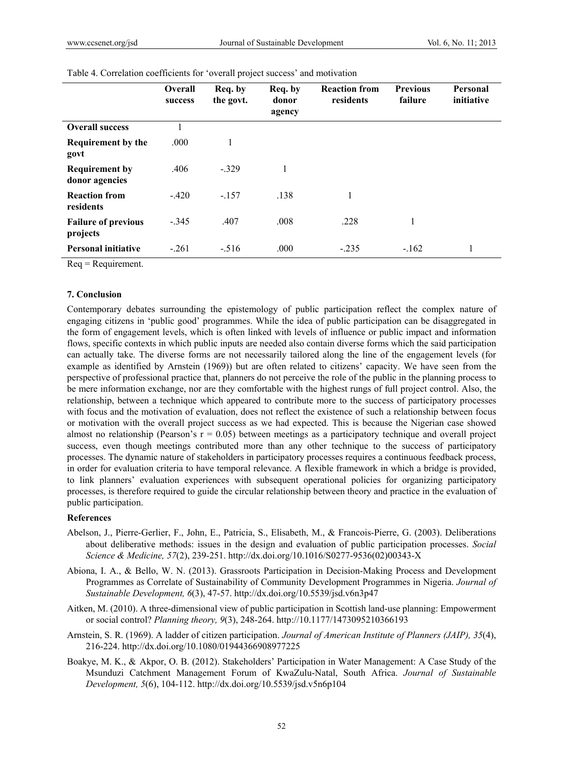|                                         | <b>Overall</b><br>success | Req. by<br>the govt. | Req. by<br>donor<br>agency | <b>Reaction from</b><br>residents | <b>Previous</b><br>failure | Personal<br>initiative |
|-----------------------------------------|---------------------------|----------------------|----------------------------|-----------------------------------|----------------------------|------------------------|
| <b>Overall success</b>                  |                           |                      |                            |                                   |                            |                        |
| <b>Requirement by the</b><br>govt       | .000                      | 1                    |                            |                                   |                            |                        |
| <b>Requirement by</b><br>donor agencies | .406                      | $-0.329$             | 1                          |                                   |                            |                        |
| <b>Reaction from</b><br>residents       | $-.420$                   | $-157$               | .138                       |                                   |                            |                        |
| <b>Failure of previous</b><br>projects  | $-.345$                   | .407                 | .008                       | .228                              | 1                          |                        |
| <b>Personal initiative</b>              | $-.261$                   | $-.516$              | .000                       | $-.235$                           | $-162$                     |                        |

#### Table 4. Correlation coefficients for 'overall project success' and motivation

Req = Requirement.

## **7. Conclusion**

Contemporary debates surrounding the epistemology of public participation reflect the complex nature of engaging citizens in 'public good' programmes. While the idea of public participation can be disaggregated in the form of engagement levels, which is often linked with levels of influence or public impact and information flows, specific contexts in which public inputs are needed also contain diverse forms which the said participation can actually take. The diverse forms are not necessarily tailored along the line of the engagement levels (for example as identified by Arnstein (1969)) but are often related to citizens' capacity. We have seen from the perspective of professional practice that, planners do not perceive the role of the public in the planning process to be mere information exchange, nor are they comfortable with the highest rungs of full project control. Also, the relationship, between a technique which appeared to contribute more to the success of participatory processes with focus and the motivation of evaluation, does not reflect the existence of such a relationship between focus or motivation with the overall project success as we had expected. This is because the Nigerian case showed almost no relationship (Pearson's  $r = 0.05$ ) between meetings as a participatory technique and overall project success, even though meetings contributed more than any other technique to the success of participatory processes. The dynamic nature of stakeholders in participatory processes requires a continuous feedback process, in order for evaluation criteria to have temporal relevance. A flexible framework in which a bridge is provided, to link planners' evaluation experiences with subsequent operational policies for organizing participatory processes, is therefore required to guide the circular relationship between theory and practice in the evaluation of public participation.

#### **References**

- Abelson, J., Pierre-Gerlier, F., John, E., Patricia, S., Elisabeth, M., & Francois-Pierre, G. (2003). Deliberations about deliberative methods: issues in the design and evaluation of public participation processes. *Social Science & Medicine, 57*(2), 239-251. http://dx.doi.org/10.1016/S0277-9536(02)00343-X
- Abiona, I. A., & Bello, W. N. (2013). Grassroots Participation in Decision-Making Process and Development Programmes as Correlate of Sustainability of Community Development Programmes in Nigeria. *Journal of Sustainable Development, 6*(3), 47-57. http://dx.doi.org/10.5539/jsd.v6n3p47
- Aitken, M. (2010). A three-dimensional view of public participation in Scottish land-use planning: Empowerment or social control? *Planning theory, 9*(3), 248-264. http://10.1177/1473095210366193
- Arnstein, S. R. (1969). A ladder of citizen participation. *Journal of American Institute of Planners (JAIP), 35*(4), 216-224. http://dx.doi.org/10.1080/01944366908977225
- Boakye, M. K., & Akpor, O. B. (2012). Stakeholders' Participation in Water Management: A Case Study of the Msunduzi Catchment Management Forum of KwaZulu-Natal, South Africa. *Journal of Sustainable Development, 5*(6), 104-112. http://dx.doi.org/10.5539/jsd.v5n6p104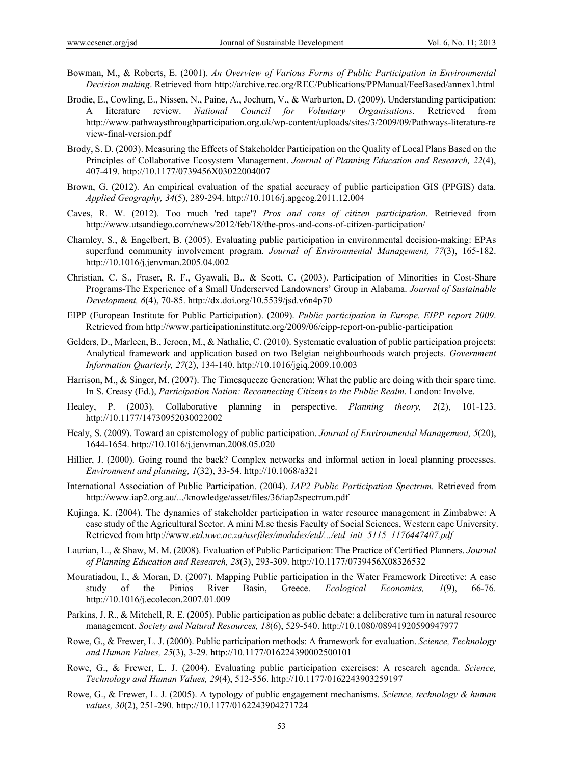- Bowman, M., & Roberts, E. (2001). *An Overview of Various Forms of Public Participation in Environmental Decision making*. Retrieved from http://archive.rec.org/REC/Publications/PPManual/FeeBased/annex1.html
- Brodie, E., Cowling, E., Nissen, N., Paine, A., Jochum, V., & Warburton, D. (2009). Understanding participation: A literature review. *National Council for Voluntary Organisations*. Retrieved from http://www.pathwaysthroughparticipation.org.uk/wp-content/uploads/sites/3/2009/09/Pathways-literature-re view-final-version.pdf
- Brody, S. D. (2003). Measuring the Effects of Stakeholder Participation on the Quality of Local Plans Based on the Principles of Collaborative Ecosystem Management. *Journal of Planning Education and Research, 22*(4), 407-419. http://10.1177/0739456X03022004007
- Brown, G. (2012). An empirical evaluation of the spatial accuracy of public participation GIS (PPGIS) data. *Applied Geography, 34*(5), 289-294. http://10.1016/j.apgeog.2011.12.004
- Caves, R. W. (2012). Too much 'red tape'? *Pros and cons of citizen participation*. Retrieved from http://www.utsandiego.com/news/2012/feb/18/the-pros-and-cons-of-citizen-participation/
- Charnley, S., & Engelbert, B. (2005). Evaluating public participation in environmental decision-making: EPAs superfund community involvement program. *Journal of Environmental Management, 77*(3), 165-182. http://10.1016/j.jenvman.2005.04.002
- Christian, C. S., Fraser, R. F., Gyawali, B., & Scott, C. (2003). Participation of Minorities in Cost-Share Programs-The Experience of a Small Underserved Landowners' Group in Alabama. *Journal of Sustainable Development, 6*(4), 70-85. http://dx.doi.org/10.5539/jsd.v6n4p70
- EIPP (European Institute for Public Participation). (2009). *Public participation in Europe. EIPP report 2009*. Retrieved from http://www.participationinstitute.org/2009/06/eipp-report-on-public-participation
- Gelders, D., Marleen, B., Jeroen, M., & Nathalie, C. (2010). Systematic evaluation of public participation projects: Analytical framework and application based on two Belgian neighbourhoods watch projects. *Government Information Quarterly, 27*(2), 134-140. http://10.1016/jgiq.2009.10.003
- Harrison, M., & Singer, M. (2007). The Timesqueeze Generation: What the public are doing with their spare time. In S. Creasy (Ed.), *Participation Nation: Reconnecting Citizens to the Public Realm*. London: Involve.
- Healey, P. (2003). Collaborative planning in perspective. *Planning theory, 2*(2), 101-123. http://10.1177/14730952030022002
- Healy, S. (2009). Toward an epistemology of public participation. *Journal of Environmental Management, 5*(20), 1644-1654. http://10.1016/j.jenvman.2008.05.020
- Hillier, J. (2000). Going round the back? Complex networks and informal action in local planning processes. *Environment and planning, 1*(32), 33-54. http://10.1068/a321
- International Association of Public Participation. (2004). *IAP2 Public Participation Spectrum.* Retrieved from http://www.iap2.org.au/.../knowledge/asset/files/36/iap2spectrum.pdf
- Kujinga, K. (2004). The dynamics of stakeholder participation in water resource management in Zimbabwe: A case study of the Agricultural Sector. A mini M.sc thesis Faculty of Social Sciences, Western cape University. Retrieved from http://www.*etd.uwc.ac.za/usrfiles/modules/etd/.../etd\_init\_5115\_1176447407.pdf*
- Laurian, L., & Shaw, M. M. (2008). Evaluation of Public Participation: The Practice of Certified Planners. *Journal of Planning Education and Research, 28*(3), 293-309. http://10.1177/0739456X08326532
- Mouratiadou, I., & Moran, D. (2007). Mapping Public participation in the Water Framework Directive: A case study of the Pinios River Basin, Greece. *Ecological Economics, 1*(9), 66-76. http://10.1016/j.ecolecon.2007.01.009
- Parkins, J. R., & Mitchell, R. E. (2005). Public participation as public debate: a deliberative turn in natural resource management. *Society and Natural Resources, 18*(6), 529-540. http://10.1080/08941920590947977
- Rowe, G., & Frewer, L. J. (2000). Public participation methods: A framework for evaluation. *Science, Technology and Human Values, 25*(3), 3-29. http://10.1177/016224390002500101
- Rowe, G., & Frewer, L. J. (2004). Evaluating public participation exercises: A research agenda. *Science, Technology and Human Values, 29*(4), 512-556. http://10.1177/0162243903259197
- Rowe, G., & Frewer, L. J. (2005). A typology of public engagement mechanisms. *Science, technology & human values, 30*(2), 251-290. http://10.1177/0162243904271724